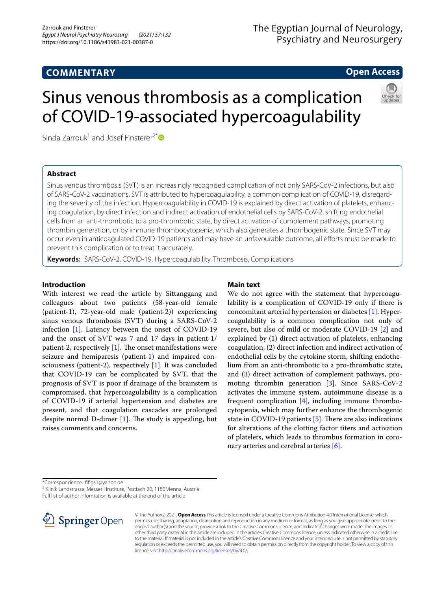# **COMMENTARY**

# The Egyptian Journal of Neurology, Psychiatry and Neurosurgery

# **Open Access**

# Sinus venous thrombosis as a complication of COVID-19-associated hypercoagulability

Sinda Zarrouk<sup>1</sup> and Josef Finsterer<sup>2[\\*](http://orcid.org/0000-0003-2839-7305)</sup> $\bullet$ 

# **Abstract**

Sinus venous thrombosis (SVT) is an increasingly recognised complication of not only SARS-CoV-2 infections, but also of SARS-CoV-2 vaccinations. SVT is attributed to hypercoagulability, a common complication of COVID-19, disregarding the severity of the infection. Hypercoagulability in COVID-19 is explained by direct activation of platelets, enhancing coagulation, by direct infection and indirect activation of endothelial cells by SARS-CoV-2, shifting endothelial cells from an anti-thrombotic to a pro-thrombotic state, by direct activation of complement pathways, promoting thrombin generation, or by immune thrombocytopenia, which also generates a thrombogenic state. Since SVT may occur even in anticoagulated COVID-19 patients and may have an unfavourable outcome, all eforts must be made to prevent this complication or to treat it accurately.

**Keywords:** SARS-CoV-2, COVID-19, Hypercoagulability, Thrombosis, Complications

## **Introduction**

With interest we read the article by Sittanggang and colleagues about two patients (58-year-old female (patient-1), 72-year-old male (patient-2)) experiencing sinus venous thrombosis (SVT) during a SARS-CoV-2 infection [\[1](#page-1-0)]. Latency between the onset of COVID-19 and the onset of SVT was 7 and 17 days in patient-1/ patient-2, respectively  $[1]$  $[1]$  $[1]$ . The onset manifestations were seizure and hemiparesis (patient-1) and impaired consciousness (patient-2), respectively [\[1](#page-1-0)]. It was concluded that COVID-19 can be complicated by SVT, that the prognosis of SVT is poor if drainage of the brainstem is compromised, that hypercoagulability is a complication of COVID-19 if arterial hypertension and diabetes are present, and that coagulation cascades are prolonged despite normal D-dimer  $[1]$  $[1]$ . The study is appealing, but raises comments and concerns.

## **Main text**

We do not agree with the statement that hypercoagulability is a complication of COVID-19 only if there is concomitant arterial hypertension or diabetes [[1\]](#page-1-0). Hypercoagulability is a common complication not only of severe, but also of mild or moderate COVID-19 [[2\]](#page-1-1) and explained by (1) direct activation of platelets, enhancing coagulation; (2) direct infection and indirect activation of endothelial cells by the cytokine storm, shifting endothelium from an anti-thrombotic to a pro-thrombotic state, and (3) direct activation of complement pathways, promoting thrombin generation [[3\]](#page-1-2). Since SARS-CoV-2 activates the immune system, autoimmune disease is a frequent complication  $[4]$  $[4]$ , including immune thrombocytopenia, which may further enhance the thrombogenic state in COVID-19 patients  $[5]$  $[5]$ . There are also indications for alterations of the clotting factor titers and activation of platelets, which leads to thrombus formation in coronary arteries and cerebral arteries [\[6](#page-1-5)].

\*Correspondence: ffgs1@yahoo.de

2 Klinik Landstrasse, Messerli Institute, Postfach 20, 1180 Vienna, Austria

Full list of author information is available at the end of the article



© The Author(s) 2021. **Open Access** This article is licensed under a Creative Commons Attribution 4.0 International License, which permits use, sharing, adaptation, distribution and reproduction in any medium or format, as long as you give appropriate credit to the original author(s) and the source, provide a link to the Creative Commons licence, and indicate if changes were made. The images or other third party material in this article are included in the article's Creative Commons licence, unless indicated otherwise in a credit line to the material. If material is not included in the article's Creative Commons licence and your intended use is not permitted by statutory regulation or exceeds the permitted use, you will need to obtain permission directly from the copyright holder. To view a copy of this licence, visit [http://creativecommons.org/licenses/by/4.0/.](http://creativecommons.org/licenses/by/4.0/)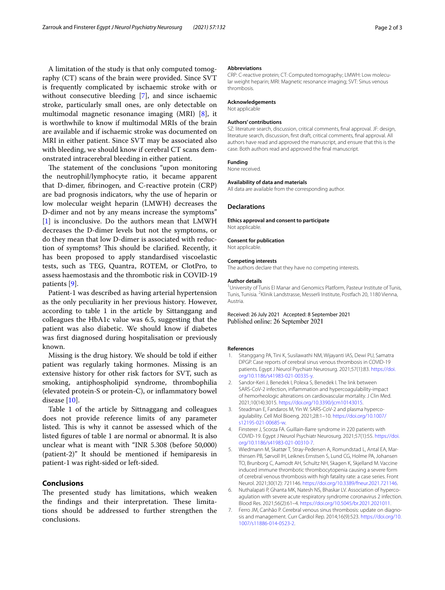A limitation of the study is that only computed tomography (CT) scans of the brain were provided. Since SVT is frequently complicated by ischaemic stroke with or without consecutive bleeding [\[7](#page-1-6)], and since ischaemic stroke, particularly small ones, are only detectable on multimodal magnetic resonance imaging (MRI) [\[8](#page-2-0)], it is worthwhile to know if multimodal MRIs of the brain are available and if ischaemic stroke was documented on MRI in either patient. Since SVT may be associated also with bleeding, we should know if cerebral CT scans demonstrated intracerebral bleeding in either patient.

The statement of the conclusions "upon monitoring the neutrophil/lymphocyte ratio, it became apparent that D-dimer, fbrinogen, and C-reactive protein (CRP) are bad prognosis indicators, why the use of heparin or low molecular weight heparin (LMWH) decreases the D-dimer and not by any means increase the symptoms" [[1\]](#page-1-0) is inconclusive. Do the authors mean that LMWH decreases the D-dimer levels but not the symptoms, or do they mean that low D-dimer is associated with reduction of symptoms? This should be clarified. Recently, it has been proposed to apply standardised viscoelastic tests, such as TEG, Quantra, ROTEM, or ClotPro, to assess haemostasis and the thrombotic risk in COVID-19 patients [[9\]](#page-2-1).

Patient-1 was described as having arterial hypertension as the only peculiarity in her previous history. However, according to table 1 in the article by Sittanggang and colleagues the HbA1c value was 6.5, suggesting that the patient was also diabetic. We should know if diabetes was frst diagnosed during hospitalisation or previously known.

Missing is the drug history. We should be told if either patient was regularly taking hormones. Missing is an extensive history for other risk factors for SVT, such as smoking, antiphospholipid syndrome, thrombophilia (elevated protein-S or protein-C), or infammatory bowel disease [\[10](#page-2-2)].

Table 1 of the article by Sittnaggang and colleagues does not provide reference limits of any parameter listed. This is why it cannot be assessed which of the listed fgures of table 1 are normal or abnormal. It is also unclear what is meant with "INR 5.308 (before 50,000) (patient-2)" It should be mentioned if hemiparesis in patient-1 was right-sided or left-sided.

## **Conclusions**

The presented study has limitations, which weaken the findings and their interpretation. These limitations should be addressed to further strengthen the conclusions.

#### **Abbreviations**

CRP: C-reactive protein; CT: Computed tomography; LMWH: Low molecular weight heparin; MRI: Magnetic resonance imaging; SVT: Sinus venous thrombosis.

#### **Acknowledgements**

Not applicable

#### **Authors' contributions**

SZ: literature search, discussion, critical comments, fnal approval. JF: design, literature search, discussion, frst draft, critical comments, fnal approval. All authors have read and approved the manuscript, and ensure that this is the case. Both authors read and approved the fnal manuscript.

#### **Funding**

None received.

#### **Availability of data and materials**

All data are available from the corresponding author.

#### **Declarations**

**Ethics approval and consent to participate** Not applicable.

### **Consent for publication**

Not applicable.

#### **Competing interests**

The authors declare that they have no competing interests.

#### **Author details**

<sup>1</sup> University of Tunis El Manar and Genomics Platform, Pasteur Institute of Tunis, Tunis, Tunisia. <sup>2</sup> Klinik Landstrasse, Messerli Institute, Postfach 20, 1180 Vienna, Austria.

Received: 26 July 2021 Accepted: 8 September 2021 Published online: 26 September 2021

#### **References**

- <span id="page-1-0"></span>1. Sitanggang PA, Tini K, Susilawathi NM, Wijayanti IAS, Dewi PU, Samatra DPGP. Case reports of cerebral sinus venous thrombosis in COVID-19 patients. Egypt J Neurol Psychiatr Neurosurg. 2021;57(1):83. [https://doi.](https://doi.org/10.1186/s41983-021-00335-y) [org/10.1186/s41983-021-00335-y.](https://doi.org/10.1186/s41983-021-00335-y)
- <span id="page-1-1"></span>2. Sandor-Keri J, Benedek I, Polexa S, Benedek I. The link between SARS-CoV-2 infection, infammation and hypercoagulability-impact of hemorheologic alterations on cardiovascular mortality. J Clin Med. 2021;10(14):3015.<https://doi.org/10.3390/jcm10143015>.
- <span id="page-1-2"></span>3. Steadman E, Fandaros M, Yin W. SARS-CoV-2 and plasma hypercoagulability. Cell Mol Bioeng. 2021;28:1–10. [https://doi.org/10.1007/](https://doi.org/10.1007/s12195-021-00685-w) [s12195-021-00685-w.](https://doi.org/10.1007/s12195-021-00685-w)
- <span id="page-1-3"></span>4. Finsterer J, Scorza FA. Guillain-Barre syndrome in 220 patients with COVID-19. Egypt J Neurol Psychiatr Neurosurg. 2021;57(1):55. [https://doi.](https://doi.org/10.1186/s41983-021-00310-7) [org/10.1186/s41983-021-00310-7](https://doi.org/10.1186/s41983-021-00310-7).
- <span id="page-1-4"></span>5. Wiedmann M, Skattør T, Stray-Pedersen A, Romundstad L, Antal EA, Marthinsen PB, Sørvoll IH, Leiknes Ernstsen S, Lund CG, Holme PA, Johansen TO, Brunborg C, Aamodt AH, Schultz NH, Skagen K, Skjelland M. Vaccine induced immune thrombotic thrombocytopenia causing a severe form of cerebral venous thrombosis with high fatality rate: a case series. Front Neurol. 2021;30(12): 721146. [https://doi.org/10.3389/fneur.2021.721146.](https://doi.org/10.3389/fneur.2021.721146)
- <span id="page-1-5"></span>6. Nuthalapati P, Ghanta MK, Natesh NS, Bhaskar LV. Association of hypercoagulation with severe acute respiratory syndrome coronavirus 2 infection. Blood Res. 2021;56(2):61–4. [https://doi.org/10.5045/br.2021.2021011.](https://doi.org/10.5045/br.2021.2021011)
- <span id="page-1-6"></span>7. Ferro JM, Canhão P. Cerebral venous sinus thrombosis: update on diagnosis and management. Curr Cardiol Rep. 2014;16(9):523. [https://doi.org/10.](https://doi.org/10.1007/s11886-014-0523-2) [1007/s11886-014-0523-2](https://doi.org/10.1007/s11886-014-0523-2).